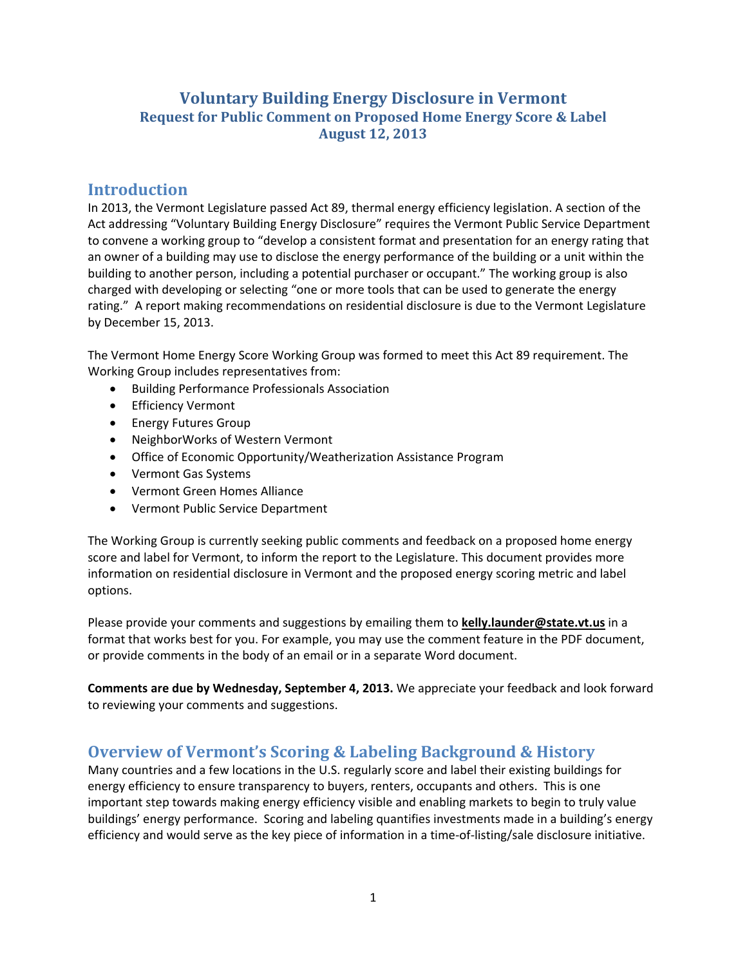### **Voluntary Building Energy Disclosure in Vermont Request for Public Comment on Proposed Home Energy Score & Label August 12, 2013**

### **Introduction**

In 2013, the Vermont Legislature passed Act 89, thermal energy efficiency legislation. A section of the Act addressing "Voluntary Building Energy Disclosure" requires the Vermont Public Service Department to convene a working group to "develop a consistent format and presentation for an energy rating that an owner of a building may use to disclose the energy performance of the building or a unit within the building to another person, including a potential purchaser or occupant." The working group is also charged with developing or selecting "one or more tools that can be used to generate the energy rating." A report making recommendations on residential disclosure is due to the Vermont Legislature by December 15, 2013.

The Vermont Home Energy Score Working Group was formed to meet this Act 89 requirement. The Working Group includes representatives from:

- Building Performance Professionals Association
- **•** Efficiency Vermont
- **•** Energy Futures Group
- NeighborWorks of Western Vermont
- Office of Economic Opportunity/Weatherization Assistance Program
- Vermont Gas Systems
- Vermont Green Homes Alliance
- Vermont Public Service Department

The Working Group is currently seeking public comments and feedback on a proposed home energy score and label for Vermont, to inform the report to the Legislature. This document provides more information on residential disclosure in Vermont and the proposed energy scoring metric and label options.

Please provide your comments and suggestions by emailing them to **kelly.launder@state.vt.us** in a format that works best for you. For example, you may use the comment feature in the PDF document, or provide comments in the body of an email or in a separate Word document.

**Comments are due by Wednesday, September 4, 2013.** We appreciate your feedback and look forward to reviewing your comments and suggestions.

## **Overview of Vermont's Scoring & Labeling Background & History**

Many countries and a few locations in the U.S. regularly score and label their existing buildings for energy efficiency to ensure transparency to buyers, renters, occupants and others. This is one important step towards making energy efficiency visible and enabling markets to begin to truly value buildings' energy performance. Scoring and labeling quantifies investments made in a building's energy efficiency and would serve as the key piece of information in a time‐of‐listing/sale disclosure initiative.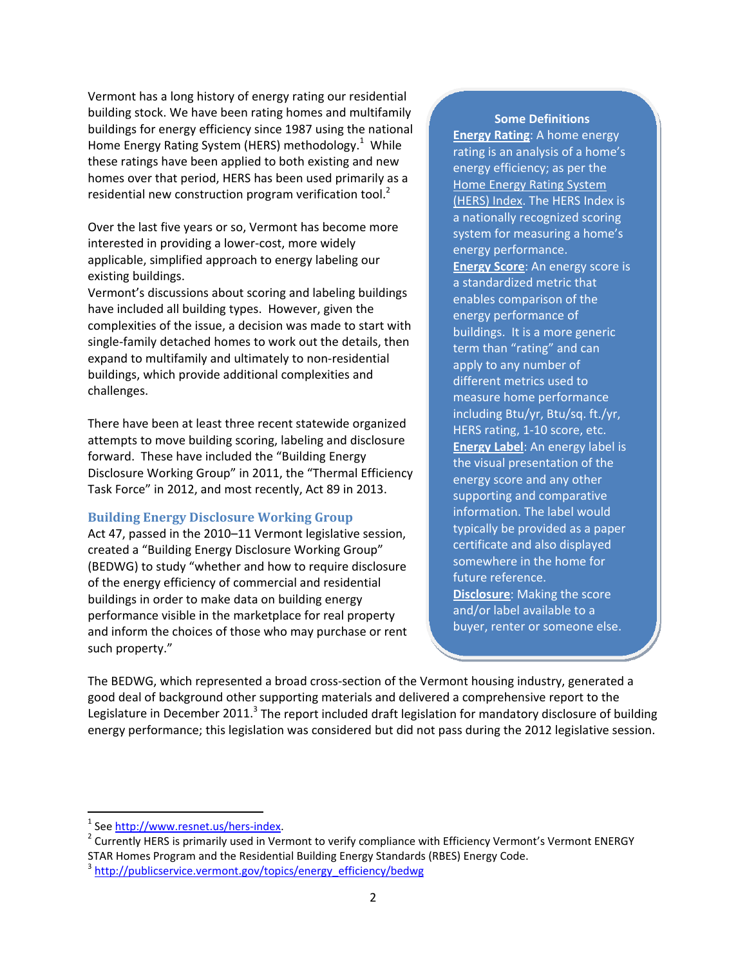Vermont has a long history of energy rating our residential building stock. We have been rating homes and multifamily buildings for energy efficiency since 1987 using the national Home Energy Rating System (HERS) methodology.<sup>1</sup> While these ratings have been applied to both existing and new homes over that period, HERS has been used primarily as a residential new construction program verification tool.<sup>2</sup>

Over the last five years or so, Vermont has become more interested in providing a lower‐cost, more widely applicable, simplified approach to energy labeling our existing buildings.

Vermont's discussions about scoring and labeling buildings have included all building types. However, given the complexities of the issue, a decision was made to start with single-family detached homes to work out the details, then expand to multifamily and ultimately to non-residential buildings, which provide additional complexities and challenges.

There have been at least three recent statewide organized attempts to move building scoring, labeling and disclosure forward. These have included the "Building Energy Disclosure Working Group" in 2011, the "Thermal Efficiency Task Force" in 2012, and most recently, Act 89 in 2013.

#### **Building Energy Disclosure Working Group**

Act 47, passed in the 2010–11 Vermont legislative session, created a "Building Energy Disclosure Working Group" (BEDWG) to study "whether and how to require disclosure of the energy efficiency of commercial and residential buildings in order to make data on building energy performance visible in the marketplace for real property and inform the choices of those who may purchase or rent such property."

#### **Some Definitions**

**Energy Rating**: A home energy rating is an analysis of a home's energy efficiency; as per the Home Energy Rating System (HERS) Index. The HERS Index is a nationally recognized scoring system for measuring a home's energy performance. **Energy Score**: An energy score is a standardized metric that enables comparison of the energy performance of buildings. It is a more generic term than "rating" and can apply to any number of different metrics used to measure home performance including Btu/yr, Btu/sq. ft./yr, HERS rating, 1‐10 score, etc. **Energy Label**: An energy label is the visual presentation of the energy score and any other supporting and comparative information. The label would typically be provided as a paper certificate and also displayed somewhere in the home for future reference. **Disclosure**: Making the score and/or label available to a buyer, renter or someone else.

The BEDWG, which represented a broad cross‐section of the Vermont housing industry, generated a good deal of background other supporting materials and delivered a comprehensive report to the Legislature in December 2011. $3$  The report included draft legislation for mandatory disclosure of building energy performance; this legislation was considered but did not pass during the 2012 legislative session.

<sup>&</sup>lt;sup>1</sup> See http://www.resnet.us/hers-index.<br><sup>2</sup> Currently HERS is primarily used in Vermont to verify compliance with Efficiency Vermont's Vermont ENERGY STAR Homes Program and the Residential Building Energy Standards (RBES) Energy Code.<br><sup>3</sup> http://publicservice.vermont.gov/topics/energy\_efficiency/bedwg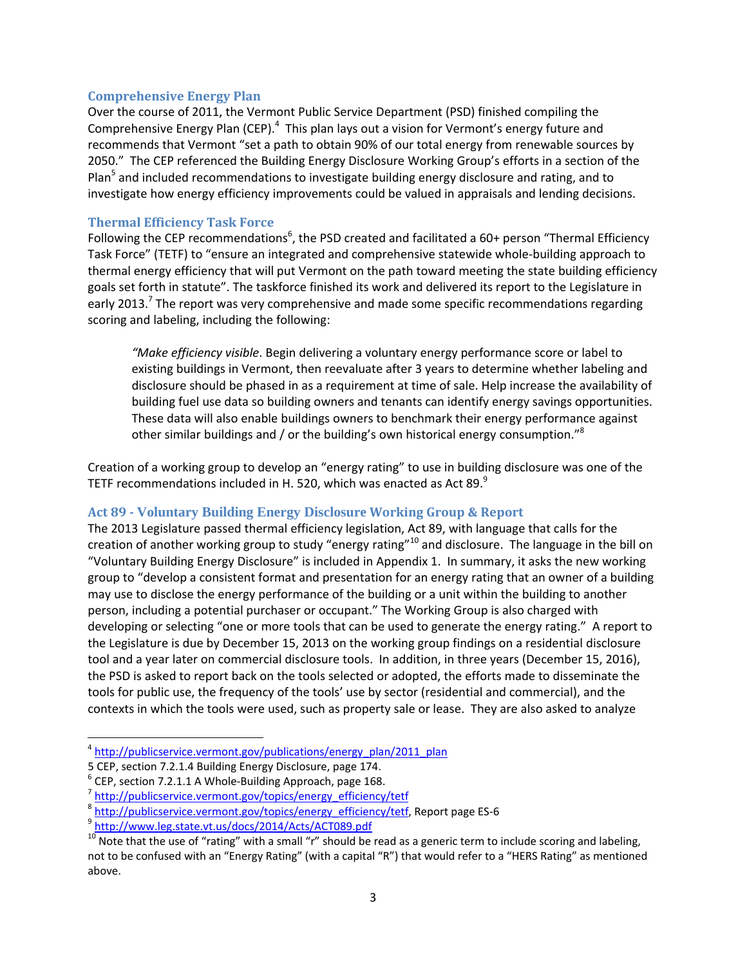#### **Comprehensive Energy Plan**

Over the course of 2011, the Vermont Public Service Department (PSD) finished compiling the Comprehensive Energy Plan (CEP).<sup>4</sup> This plan lays out a vision for Vermont's energy future and recommends that Vermont "set a path to obtain 90% of our total energy from renewable sources by 2050." The CEP referenced the Building Energy Disclosure Working Group's efforts in a section of the Plan<sup>5</sup> and included recommendations to investigate building energy disclosure and rating, and to investigate how energy efficiency improvements could be valued in appraisals and lending decisions.

### **Thermal Efficiency Task Force**

Following the CEP recommendations<sup>6</sup>, the PSD created and facilitated a 60+ person "Thermal Efficiency Task Force" (TETF) to "ensure an integrated and comprehensive statewide whole‐building approach to thermal energy efficiency that will put Vermont on the path toward meeting the state building efficiency goals set forth in statute". The taskforce finished its work and delivered its report to the Legislature in early 2013.<sup>7</sup> The report was very comprehensive and made some specific recommendations regarding scoring and labeling, including the following:

*"Make efficiency visible*. Begin delivering a voluntary energy performance score or label to existing buildings in Vermont, then reevaluate after 3 years to determine whether labeling and disclosure should be phased in as a requirement at time of sale. Help increase the availability of building fuel use data so building owners and tenants can identify energy savings opportunities. These data will also enable buildings owners to benchmark their energy performance against other similar buildings and / or the building's own historical energy consumption." $8$ 

Creation of a working group to develop an "energy rating" to use in building disclosure was one of the TETF recommendations included in H. 520, which was enacted as Act 89. $^9$ 

#### **Act 89 ‐ Voluntary Building Energy Disclosure Working Group & Report**

The 2013 Legislature passed thermal efficiency legislation, Act 89, with language that calls for the creation of another working group to study "energy rating"<sup>10</sup> and disclosure. The language in the bill on "Voluntary Building Energy Disclosure" is included in Appendix 1. In summary, it asks the new working group to "develop a consistent format and presentation for an energy rating that an owner of a building may use to disclose the energy performance of the building or a unit within the building to another person, including a potential purchaser or occupant." The Working Group is also charged with developing or selecting "one or more tools that can be used to generate the energy rating." A report to the Legislature is due by December 15, 2013 on the working group findings on a residential disclosure tool and a year later on commercial disclosure tools. In addition, in three years (December 15, 2016), the PSD is asked to report back on the tools selected or adopted, the efforts made to disseminate the tools for public use, the frequency of the tools' use by sector (residential and commercial), and the contexts in which the tools were used, such as property sale or lease. They are also asked to analyze

 $4 \frac{\text{http://public service.event.gov/publications/energy\_plan/2011\_plan}}{5 \text{ CEP}}$ , section 7.2.1.4 Building Energy Disclosure, page 174.

<sup>&</sup>lt;sup>6</sup> CEP, section 7.2.1.1 A Whole-Building Approach, page 168.<br>  $\frac{7}{10}$  http://publicservice.vermont.gov/topics/energy\_efficiency/tetf<br>  $\frac{8}{10}$  http://publicservice.vermont.gov/topics/energy\_efficiency/tetf, Report p not to be confused with an "Energy Rating" (with a capital "R") that would refer to a "HERS Rating" as mentioned above.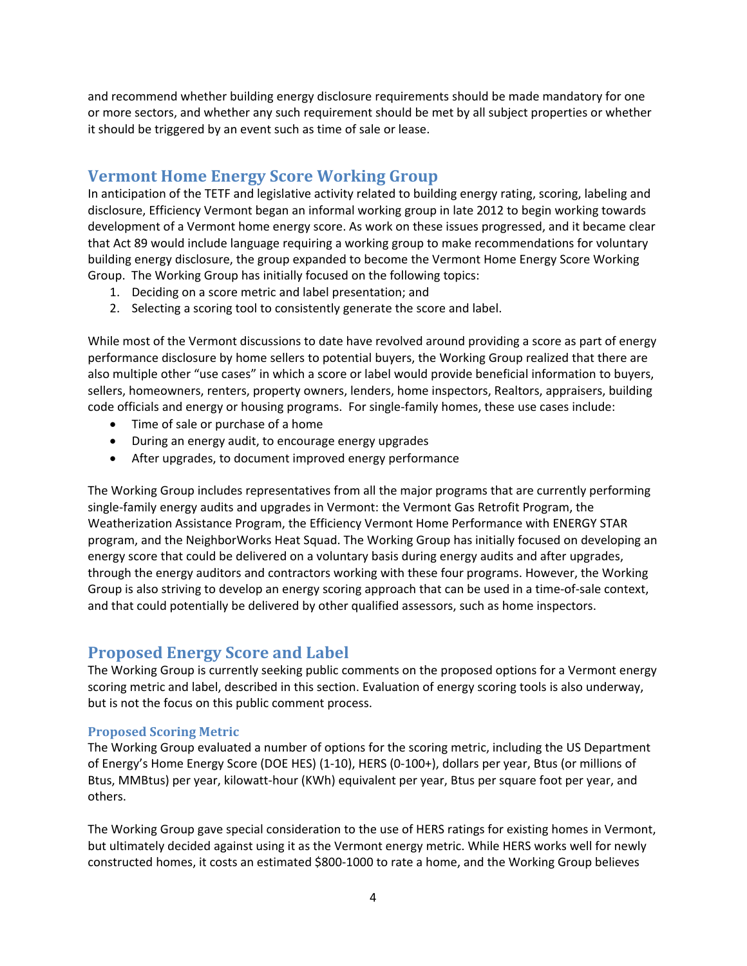and recommend whether building energy disclosure requirements should be made mandatory for one or more sectors, and whether any such requirement should be met by all subject properties or whether it should be triggered by an event such as time of sale or lease.

# **Vermont Home Energy Score Working Group**

In anticipation of the TETF and legislative activity related to building energy rating, scoring, labeling and disclosure, Efficiency Vermont began an informal working group in late 2012 to begin working towards development of a Vermont home energy score. As work on these issues progressed, and it became clear that Act 89 would include language requiring a working group to make recommendations for voluntary building energy disclosure, the group expanded to become the Vermont Home Energy Score Working Group. The Working Group has initially focused on the following topics:

- 1. Deciding on a score metric and label presentation; and
- 2. Selecting a scoring tool to consistently generate the score and label.

While most of the Vermont discussions to date have revolved around providing a score as part of energy performance disclosure by home sellers to potential buyers, the Working Group realized that there are also multiple other "use cases" in which a score or label would provide beneficial information to buyers, sellers, homeowners, renters, property owners, lenders, home inspectors, Realtors, appraisers, building code officials and energy or housing programs. For single‐family homes, these use cases include:

- Time of sale or purchase of a home
- During an energy audit, to encourage energy upgrades
- After upgrades, to document improved energy performance

The Working Group includes representatives from all the major programs that are currently performing single‐family energy audits and upgrades in Vermont: the Vermont Gas Retrofit Program, the Weatherization Assistance Program, the Efficiency Vermont Home Performance with ENERGY STAR program, and the NeighborWorks Heat Squad. The Working Group has initially focused on developing an energy score that could be delivered on a voluntary basis during energy audits and after upgrades, through the energy auditors and contractors working with these four programs. However, the Working Group is also striving to develop an energy scoring approach that can be used in a time‐of‐sale context, and that could potentially be delivered by other qualified assessors, such as home inspectors.

# **Proposed Energy Score and Label**

The Working Group is currently seeking public comments on the proposed options for a Vermont energy scoring metric and label, described in this section. Evaluation of energy scoring tools is also underway, but is not the focus on this public comment process.

#### **Proposed Scoring Metric**

The Working Group evaluated a number of options for the scoring metric, including the US Department of Energy's Home Energy Score (DOE HES) (1‐10), HERS (0‐100+), dollars per year, Btus (or millions of Btus, MMBtus) per year, kilowatt‐hour (KWh) equivalent per year, Btus per square foot per year, and others.

The Working Group gave special consideration to the use of HERS ratings for existing homes in Vermont, but ultimately decided against using it as the Vermont energy metric. While HERS works well for newly constructed homes, it costs an estimated \$800‐1000 to rate a home, and the Working Group believes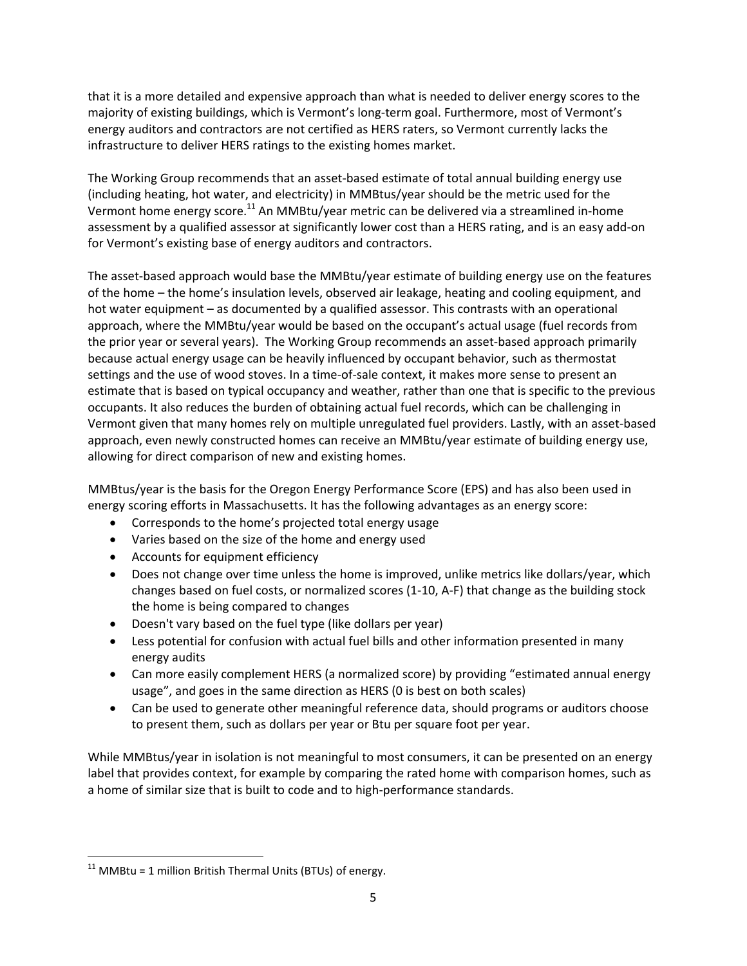that it is a more detailed and expensive approach than what is needed to deliver energy scores to the majority of existing buildings, which is Vermont's long‐term goal. Furthermore, most of Vermont's energy auditors and contractors are not certified as HERS raters, so Vermont currently lacks the infrastructure to deliver HERS ratings to the existing homes market.

The Working Group recommends that an asset‐based estimate of total annual building energy use (including heating, hot water, and electricity) in MMBtus/year should be the metric used for the Vermont home energy score.<sup>11</sup> An MMBtu/year metric can be delivered via a streamlined in-home assessment by a qualified assessor at significantly lower cost than a HERS rating, and is an easy add‐on for Vermont's existing base of energy auditors and contractors.

The asset-based approach would base the MMBtu/year estimate of building energy use on the features of the home – the home's insulation levels, observed air leakage, heating and cooling equipment, and hot water equipment – as documented by a qualified assessor. This contrasts with an operational approach, where the MMBtu/year would be based on the occupant's actual usage (fuel records from the prior year or several years). The Working Group recommends an asset‐based approach primarily because actual energy usage can be heavily influenced by occupant behavior, such as thermostat settings and the use of wood stoves. In a time‐of‐sale context, it makes more sense to present an estimate that is based on typical occupancy and weather, rather than one that is specific to the previous occupants. It also reduces the burden of obtaining actual fuel records, which can be challenging in Vermont given that many homes rely on multiple unregulated fuel providers. Lastly, with an asset‐based approach, even newly constructed homes can receive an MMBtu/year estimate of building energy use, allowing for direct comparison of new and existing homes.

MMBtus/year is the basis for the Oregon Energy Performance Score (EPS) and has also been used in energy scoring efforts in Massachusetts. It has the following advantages as an energy score:

- Corresponds to the home's projected total energy usage
- Varies based on the size of the home and energy used
- Accounts for equipment efficiency
- Does not change over time unless the home is improved, unlike metrics like dollars/year, which changes based on fuel costs, or normalized scores (1‐10, A‐F) that change as the building stock the home is being compared to changes
- Doesn't vary based on the fuel type (like dollars per year)
- Less potential for confusion with actual fuel bills and other information presented in many energy audits
- Can more easily complement HERS (a normalized score) by providing "estimated annual energy usage", and goes in the same direction as HERS (0 is best on both scales)
- Can be used to generate other meaningful reference data, should programs or auditors choose to present them, such as dollars per year or Btu per square foot per year.

While MMBtus/year in isolation is not meaningful to most consumers, it can be presented on an energy label that provides context, for example by comparing the rated home with comparison homes, such as a home of similar size that is built to code and to high‐performance standards.

  $11$  MMBtu = 1 million British Thermal Units (BTUs) of energy.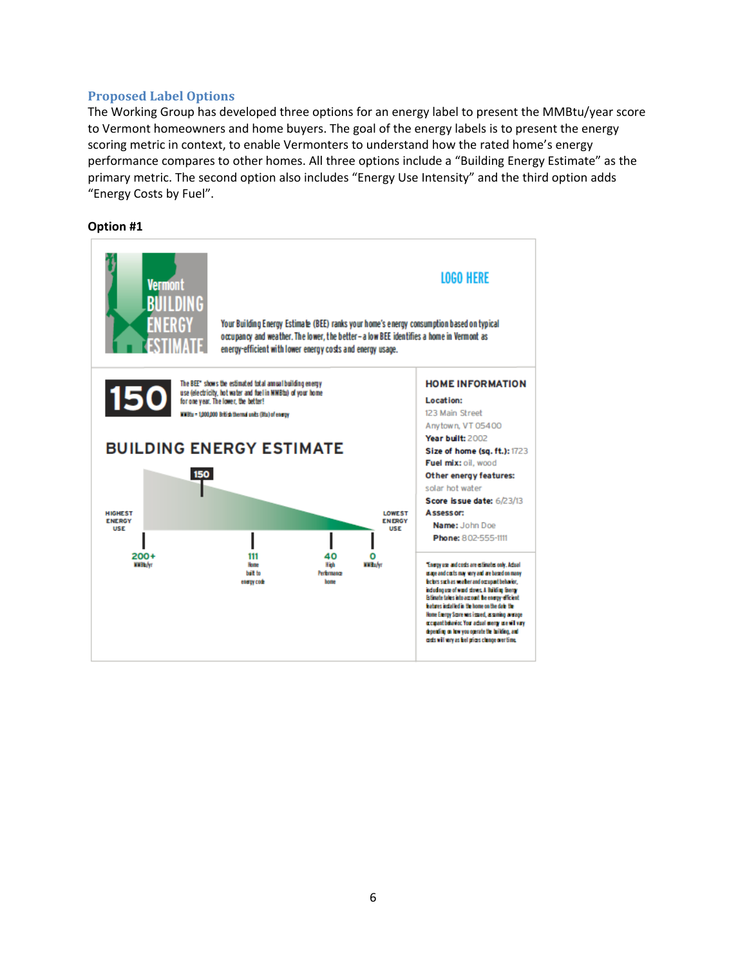### **Proposed Label Options**

The Working Group has developed three options for an energy label to present the MMBtu/year score to Vermont homeowners and home buyers. The goal of the energy labels is to present the energy scoring metric in context, to enable Vermonters to understand how the rated home's energy performance compares to other homes. All three options include a "Building Energy Estimate" as the primary metric. The second option also includes "Energy Use Intensity" and the third option adds "Energy Costs by Fuel".

#### **Option #1**

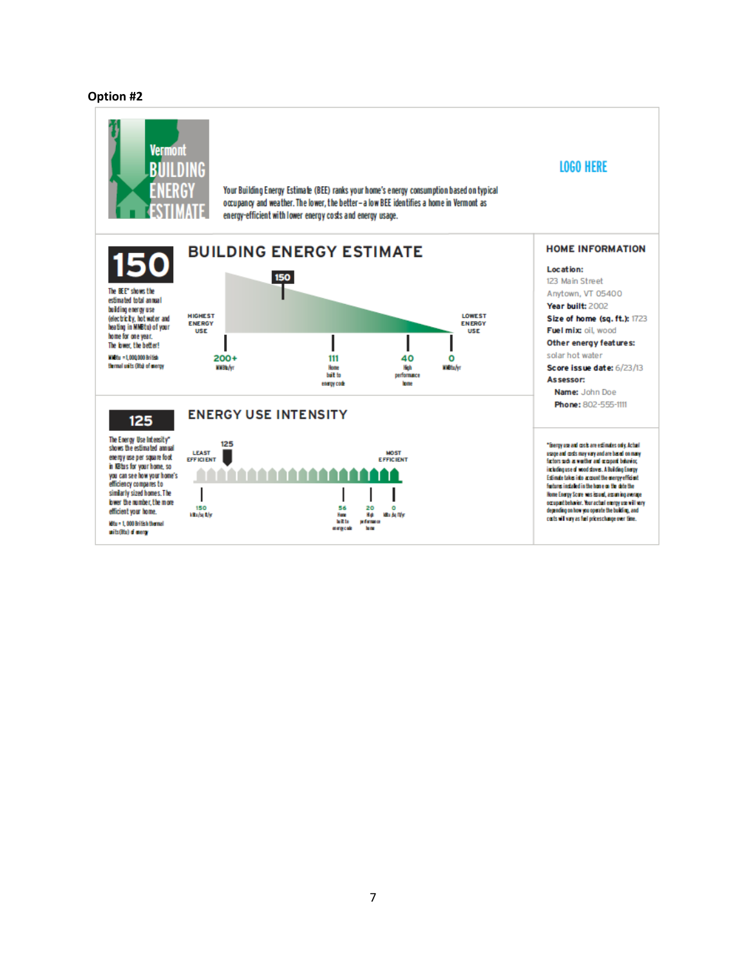#### **Option #2**

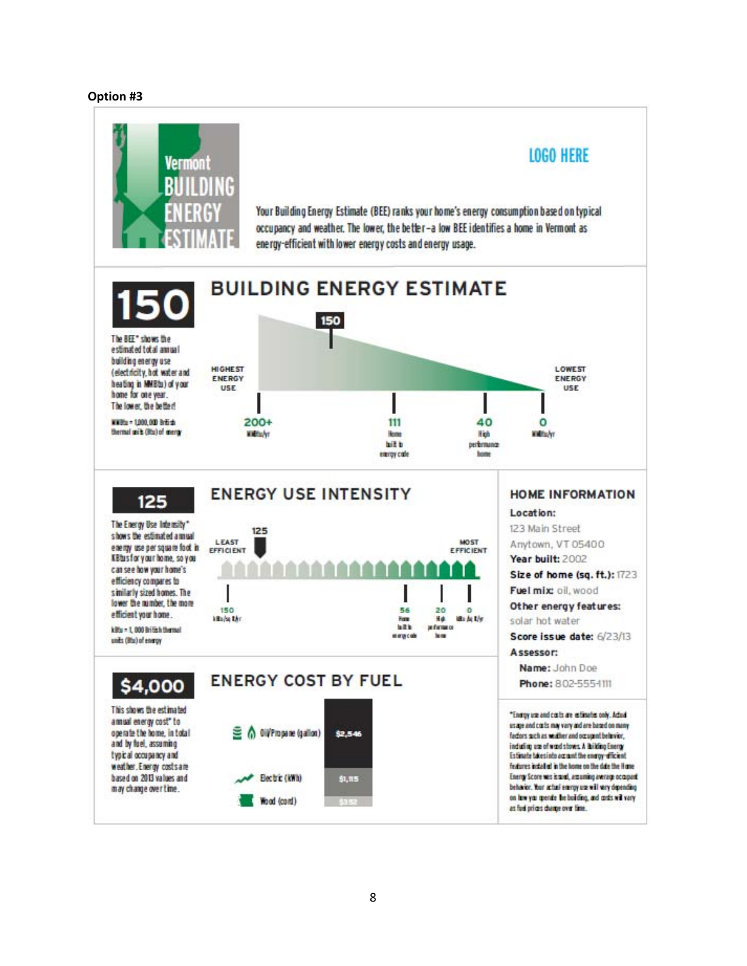#### **Option #3**

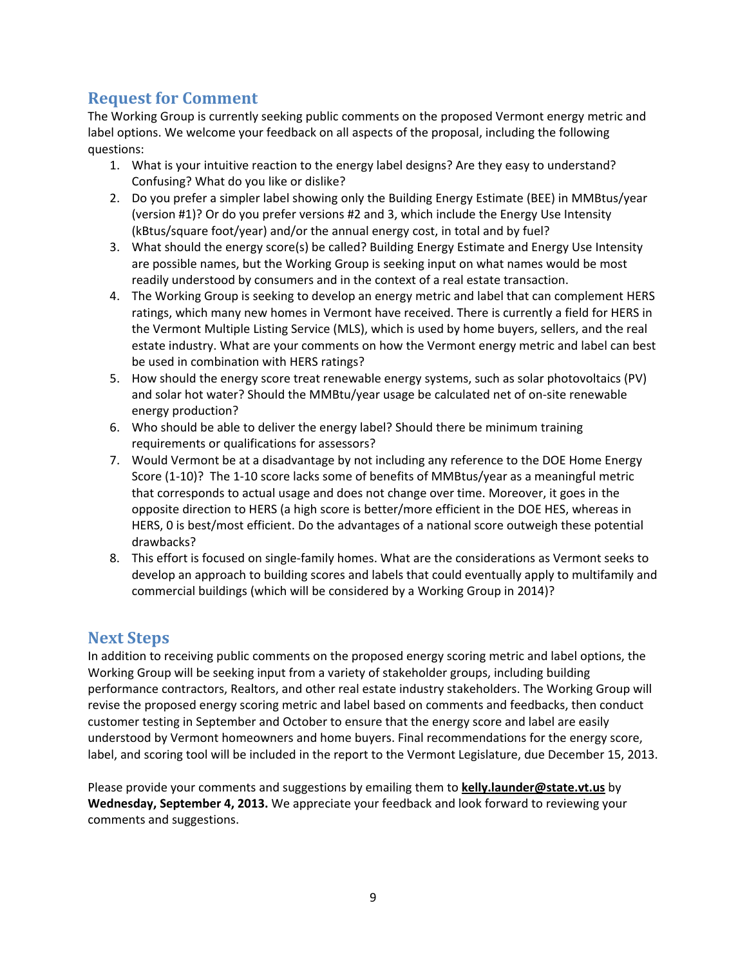# **Request for Comment**

The Working Group is currently seeking public comments on the proposed Vermont energy metric and label options. We welcome your feedback on all aspects of the proposal, including the following questions:

- 1. What is your intuitive reaction to the energy label designs? Are they easy to understand? Confusing? What do you like or dislike?
- 2. Do you prefer a simpler label showing only the Building Energy Estimate (BEE) in MMBtus/year (version #1)? Or do you prefer versions #2 and 3, which include the Energy Use Intensity (kBtus/square foot/year) and/or the annual energy cost, in total and by fuel?
- 3. What should the energy score(s) be called? Building Energy Estimate and Energy Use Intensity are possible names, but the Working Group is seeking input on what names would be most readily understood by consumers and in the context of a real estate transaction.
- 4. The Working Group is seeking to develop an energy metric and label that can complement HERS ratings, which many new homes in Vermont have received. There is currently a field for HERS in the Vermont Multiple Listing Service (MLS), which is used by home buyers, sellers, and the real estate industry. What are your comments on how the Vermont energy metric and label can best be used in combination with HERS ratings?
- 5. How should the energy score treat renewable energy systems, such as solar photovoltaics (PV) and solar hot water? Should the MMBtu/year usage be calculated net of on‐site renewable energy production?
- 6. Who should be able to deliver the energy label? Should there be minimum training requirements or qualifications for assessors?
- 7. Would Vermont be at a disadvantage by not including any reference to the DOE Home Energy Score (1‐10)? The 1‐10 score lacks some of benefits of MMBtus/year as a meaningful metric that corresponds to actual usage and does not change over time. Moreover, it goes in the opposite direction to HERS (a high score is better/more efficient in the DOE HES, whereas in HERS, 0 is best/most efficient. Do the advantages of a national score outweigh these potential drawbacks?
- 8. This effort is focused on single‐family homes. What are the considerations as Vermont seeks to develop an approach to building scores and labels that could eventually apply to multifamily and commercial buildings (which will be considered by a Working Group in 2014)?

## **Next Steps**

In addition to receiving public comments on the proposed energy scoring metric and label options, the Working Group will be seeking input from a variety of stakeholder groups, including building performance contractors, Realtors, and other real estate industry stakeholders. The Working Group will revise the proposed energy scoring metric and label based on comments and feedbacks, then conduct customer testing in September and October to ensure that the energy score and label are easily understood by Vermont homeowners and home buyers. Final recommendations for the energy score, label, and scoring tool will be included in the report to the Vermont Legislature, due December 15, 2013.

Please provide your comments and suggestions by emailing them to **kelly.launder@state.vt.us** by **Wednesday, September 4, 2013.** We appreciate your feedback and look forward to reviewing your comments and suggestions.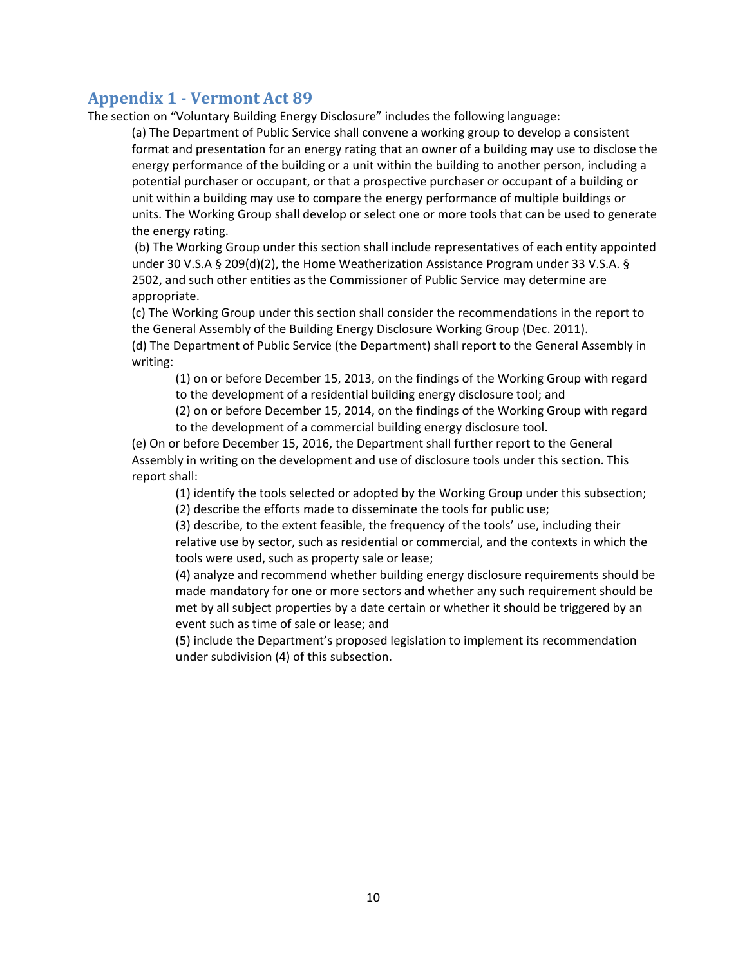## **Appendix 1 ‐ Vermont Act 89**

The section on "Voluntary Building Energy Disclosure" includes the following language:

(a) The Department of Public Service shall convene a working group to develop a consistent format and presentation for an energy rating that an owner of a building may use to disclose the energy performance of the building or a unit within the building to another person, including a potential purchaser or occupant, or that a prospective purchaser or occupant of a building or unit within a building may use to compare the energy performance of multiple buildings or units. The Working Group shall develop or select one or more tools that can be used to generate the energy rating.

(b) The Working Group under this section shall include representatives of each entity appointed under 30 V.S.A § 209(d)(2), the Home Weatherization Assistance Program under 33 V.S.A. § 2502, and such other entities as the Commissioner of Public Service may determine are appropriate.

(c) The Working Group under this section shall consider the recommendations in the report to the General Assembly of the Building Energy Disclosure Working Group (Dec. 2011). (d) The Department of Public Service (the Department) shall report to the General Assembly in writing:

(1) on or before December 15, 2013, on the findings of the Working Group with regard to the development of a residential building energy disclosure tool; and

(2) on or before December 15, 2014, on the findings of the Working Group with regard to the development of a commercial building energy disclosure tool.

(e) On or before December 15, 2016, the Department shall further report to the General Assembly in writing on the development and use of disclosure tools under this section. This report shall:

(1) identify the tools selected or adopted by the Working Group under this subsection;

(2) describe the efforts made to disseminate the tools for public use;

(3) describe, to the extent feasible, the frequency of the tools' use, including their relative use by sector, such as residential or commercial, and the contexts in which the tools were used, such as property sale or lease;

(4) analyze and recommend whether building energy disclosure requirements should be made mandatory for one or more sectors and whether any such requirement should be met by all subject properties by a date certain or whether it should be triggered by an event such as time of sale or lease; and

(5) include the Department's proposed legislation to implement its recommendation under subdivision (4) of this subsection.